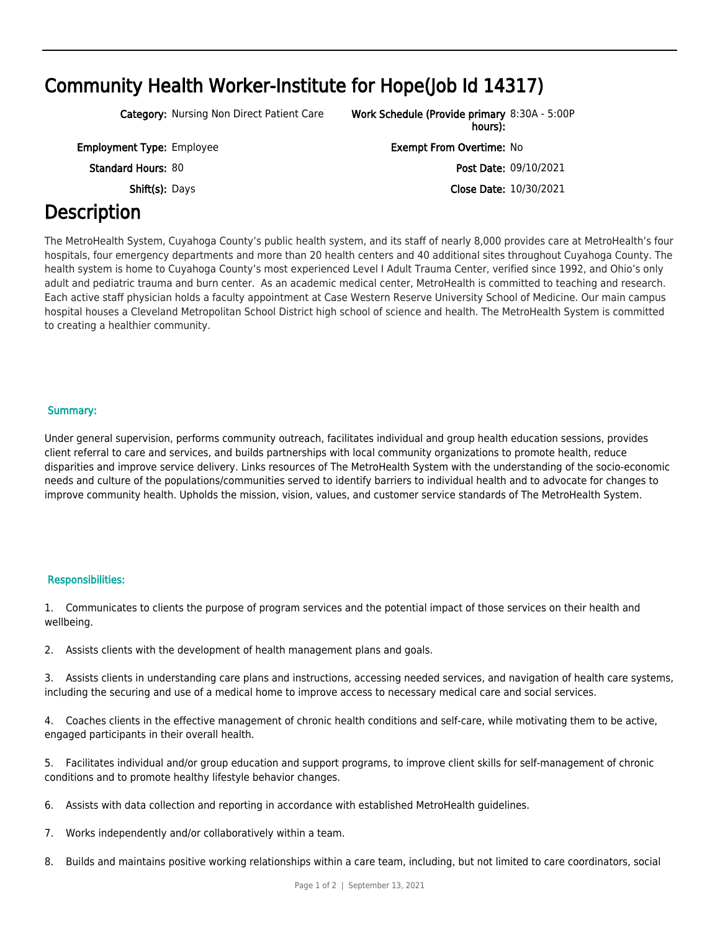# Community Health Worker-Institute for Hope(Job Id 14317)

Category: Nursing Non Direct Patient Care

Employment Type: Employee Exempt From Overtime: No

# **Description**

The MetroHealth System, Cuyahoga County's public health system, and its staff of nearly 8,000 provides care at MetroHealth's four hospitals, four emergency departments and more than 20 health centers and 40 additional sites throughout Cuyahoga County. The health system is home to Cuyahoga County's most experienced Level I Adult Trauma Center, verified since 1992, and Ohio's only adult and pediatric trauma and burn center. As an academic medical center, MetroHealth is committed to teaching and research. Each active staff physician holds a faculty appointment at Case Western Reserve University School of Medicine. Our main campus hospital houses a Cleveland Metropolitan School District high school of science and health. The MetroHealth System is committed to creating a healthier community.

### Summary:

Under general supervision, performs community outreach, facilitates individual and group health education sessions, provides client referral to care and services, and builds partnerships with local community organizations to promote health, reduce disparities and improve service delivery. Links resources of The MetroHealth System with the understanding of the socio-economic needs and culture of the populations/communities served to identify barriers to individual health and to advocate for changes to improve community health. Upholds the mission, vision, values, and customer service standards of The MetroHealth System.

### Responsibilities:

1. Communicates to clients the purpose of program services and the potential impact of those services on their health and wellbeing.

2. Assists clients with the development of health management plans and goals.

3. Assists clients in understanding care plans and instructions, accessing needed services, and navigation of health care systems, including the securing and use of a medical home to improve access to necessary medical care and social services.

4. Coaches clients in the effective management of chronic health conditions and self-care, while motivating them to be active, engaged participants in their overall health.

5. Facilitates individual and/or group education and support programs, to improve client skills for self-management of chronic conditions and to promote healthy lifestyle behavior changes.

- 6. Assists with data collection and reporting in accordance with established MetroHealth guidelines.
- 7. Works independently and/or collaboratively within a team.
- 8. Builds and maintains positive working relationships within a care team, including, but not limited to care coordinators, social

hours): Work Schedule (Provide primary 8:30A - 5:00P

Standard Hours: 80 **Post Date: 09/10/2021** Shift(s): Days **Close Date: 10/30/2021**